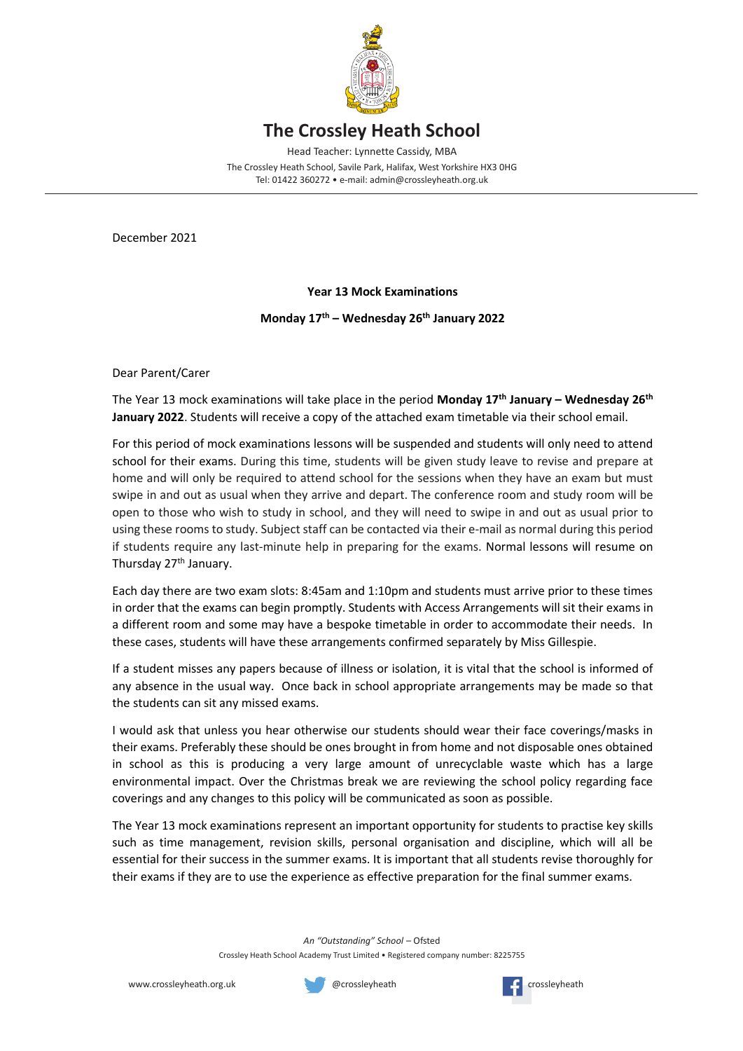

## **The Crossley Heath School**

Head Teacher: Lynnette Cassidy, MBA

The Crossley Heath School, Savile Park, Halifax, West Yorkshire HX3 0HG Tel: 01422 360272 • e-mail: admin@crossleyheath.org.uk

December 2021

## **Year 13 Mock Examinations**

## **Monday 17th – Wednesday 26th January 2022**

Dear Parent/Carer

The Year 13 mock examinations will take place in the period **Monday 17th January – Wednesday 26th January 2022**. Students will receive a copy of the attached exam timetable via their school email.

For this period of mock examinations lessons will be suspended and students will only need to attend school for their exams. During this time, students will be given study leave to revise and prepare at home and will only be required to attend school for the sessions when they have an exam but must swipe in and out as usual when they arrive and depart. The conference room and study room will be open to those who wish to study in school, and they will need to swipe in and out as usual prior to using these rooms to study. Subject staff can be contacted via their e-mail as normal during this period if students require any last-minute help in preparing for the exams. Normal lessons will resume on Thursday 27<sup>th</sup> January.

Each day there are two exam slots: 8:45am and 1:10pm and students must arrive prior to these times in order that the exams can begin promptly. Students with Access Arrangements will sit their exams in a different room and some may have a bespoke timetable in order to accommodate their needs. In these cases, students will have these arrangements confirmed separately by Miss Gillespie.

If a student misses any papers because of illness or isolation, it is vital that the school is informed of any absence in the usual way. Once back in school appropriate arrangements may be made so that the students can sit any missed exams.

I would ask that unless you hear otherwise our students should wear their face coverings/masks in their exams. Preferably these should be ones brought in from home and not disposable ones obtained in school as this is producing a very large amount of unrecyclable waste which has a large environmental impact. Over the Christmas break we are reviewing the school policy regarding face coverings and any changes to this policy will be communicated as soon as possible.

The Year 13 mock examinations represent an important opportunity for students to practise key skills such as time management, revision skills, personal organisation and discipline, which will all be essential for their success in the summer exams. It is important that all students revise thoroughly for their exams if they are to use the experience as effective preparation for the final summer exams.

*An "Outstanding" School* – Ofsted

Crossley Heath School Academy Trust Limited • Registered company number: 8225755